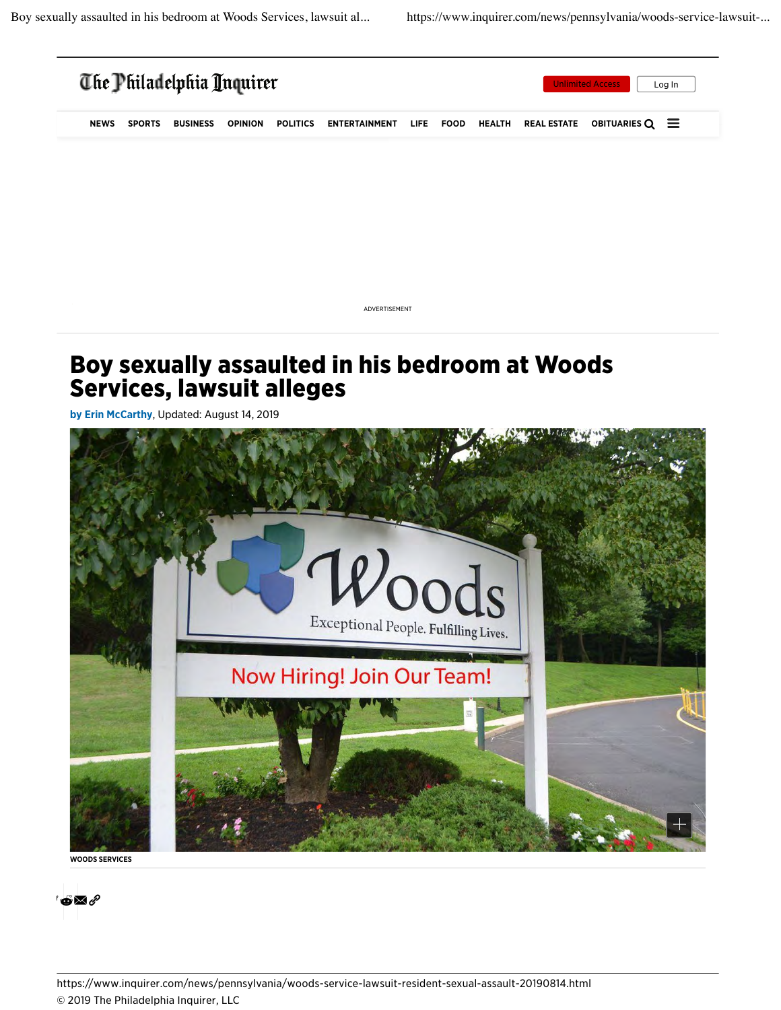

ADVERTISEMENT

## Boy sexually assaulted in his bedroom at Woods Services, lawsuit alleges

by Erin McCarthy, Updated: August 14, 2019



WOODS SERVICES

o $\boxtimes$  /

https://www.inquirer.com/news/pennsylvania/woods-service-lawsuit-resident-sexual-assault-20190814.html © 2019 The Philadelphia Inquirer, LLC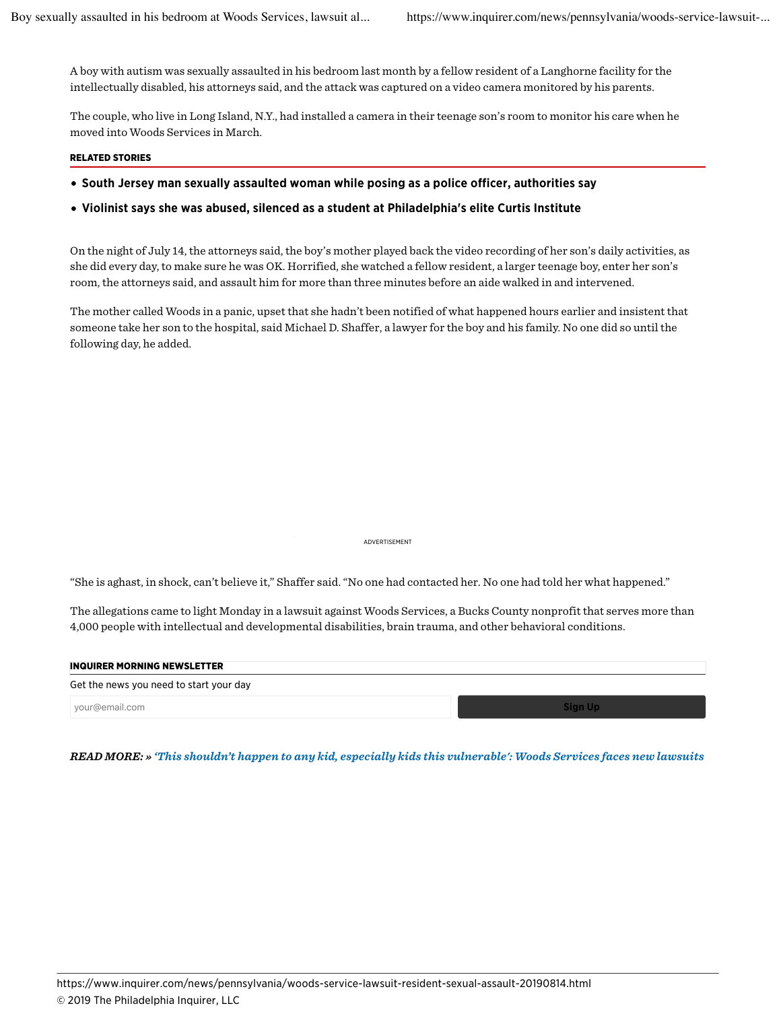A boy with autism was sexually assaulted in his bedroom last month by a fellow resident of a Langhorne facility for the intellectually disabled, his attorneys said, and the attack was captured on a video camera monitored by his parents.

The couple, who live in Long Island, N.Y., had installed a camera in their teenage son's room to monitor his care when he moved into Woods Services in March.

## RELATED STORIES

South Jersey man sexually assaulted woman while posing as a police officer, authorities say

## Violinist says she was abused, silenced as a student at Philadelphia's elite Curtis Institute

On the night of July 14, the attorneys said, the boy's mother played back the video recording of her son's daily activities, as she did every day, to make sure he was OK. Horrified, she watched a fellow resident, a larger teenage boy, enter her son's room, the attorneys said, and assault him for more than three minutes before an aide walked in and intervened.

The mother called Woods in a panic, upset that she hadn't been notified of what happened hours earlier and insistent that someone take her son to the hospital, said Michael D. Shaffer, a lawyer for the boy and his family. No one did so until the following day, he added.

ADVERTISEMENT

"She is aghast, in shock, can't believe it," Shaffer said. "No one had contacted her. No one had told her what happened."

The allegations came to light Monday in a lawsuit against Woods Services, a Bucks County nonprofit that serves more than 4,000 people with intellectual and developmental disabilities, brain trauma, and other behavioral conditions.

| <b>INQUIRER MORNING NEWSLETTER</b>      |                |
|-----------------------------------------|----------------|
| Get the news you need to start your day |                |
| vour@email.com                          | <b>Sign Up</b> |

*READ MORE: » 'This shouldn't happen to any kid, especially kids this vulnerable': Woods Services faces new lawsuits*